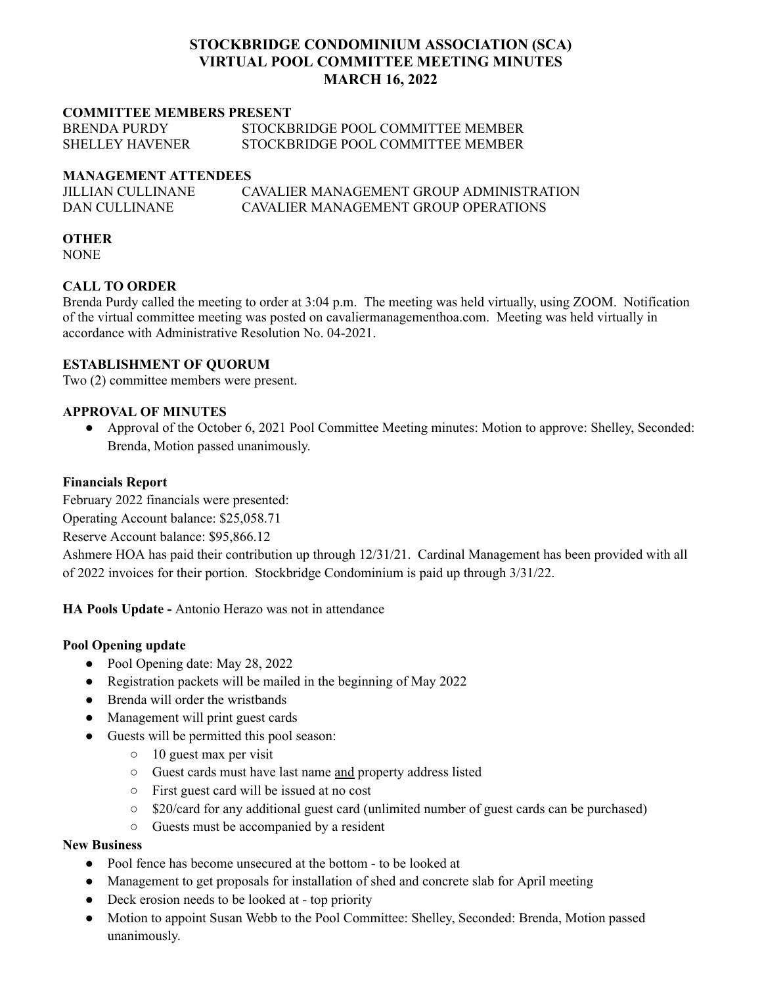# **STOCKBRIDGE CONDOMINIUM ASSOCIATION (SCA) VIRTUAL POOL COMMITTEE MEETING MINUTES MARCH 16, 2022**

#### **COMMITTEE MEMBERS PRESENT**

| <b>BRENDA PURDY</b>    | STOCKBRIDGE POOL COMMITTEE MEMBER |
|------------------------|-----------------------------------|
| <b>SHELLEY HAVENER</b> | STOCKBRIDGE POOL COMMITTEE MEMBER |

#### **MANAGEMENT ATTENDEES**

| JILLIAN CULLINANE | CAVALIER MANAGEMENT GROUP ADMINISTRATION |
|-------------------|------------------------------------------|
| DAN CULLINANE     | CAVALIER MANAGEMENT GROUP OPER ATIONS    |

#### **OTHER**

NONE

# **CALL TO ORDER**

Brenda Purdy called the meeting to order at 3:04 p.m. The meeting was held virtually, using ZOOM. Notification of the virtual committee meeting was posted on cavaliermanagementhoa.com. Meeting was held virtually in accordance with Administrative Resolution No. 04-2021.

# **ESTABLISHMENT OF QUORUM**

Two (2) committee members were present.

# **APPROVAL OF MINUTES**

● Approval of the October 6, 2021 Pool Committee Meeting minutes: Motion to approve: Shelley, Seconded: Brenda, Motion passed unanimously.

# **Financials Report**

February 2022 financials were presented: Operating Account balance: \$25,058.71

Reserve Account balance: \$95,866.12

Ashmere HOA has paid their contribution up through 12/31/21. Cardinal Management has been provided with all of 2022 invoices for their portion. Stockbridge Condominium is paid up through 3/31/22.

**HA Pools Update -** Antonio Herazo was not in attendance

# **Pool Opening update**

- Pool Opening date: May 28, 2022
- Registration packets will be mailed in the beginning of May 2022
- Brenda will order the wristbands
- Management will print guest cards
- Guests will be permitted this pool season:
	- $\circ$  10 guest max per visit
	- Guest cards must have last name and property address listed
	- First guest card will be issued at no cost
	- \$20/card for any additional guest card (unlimited number of guest cards can be purchased)
	- Guests must be accompanied by a resident

#### **New Business**

- Pool fence has become unsecured at the bottom to be looked at
- Management to get proposals for installation of shed and concrete slab for April meeting
- Deck erosion needs to be looked at top priority
- Motion to appoint Susan Webb to the Pool Committee: Shelley, Seconded: Brenda, Motion passed unanimously.